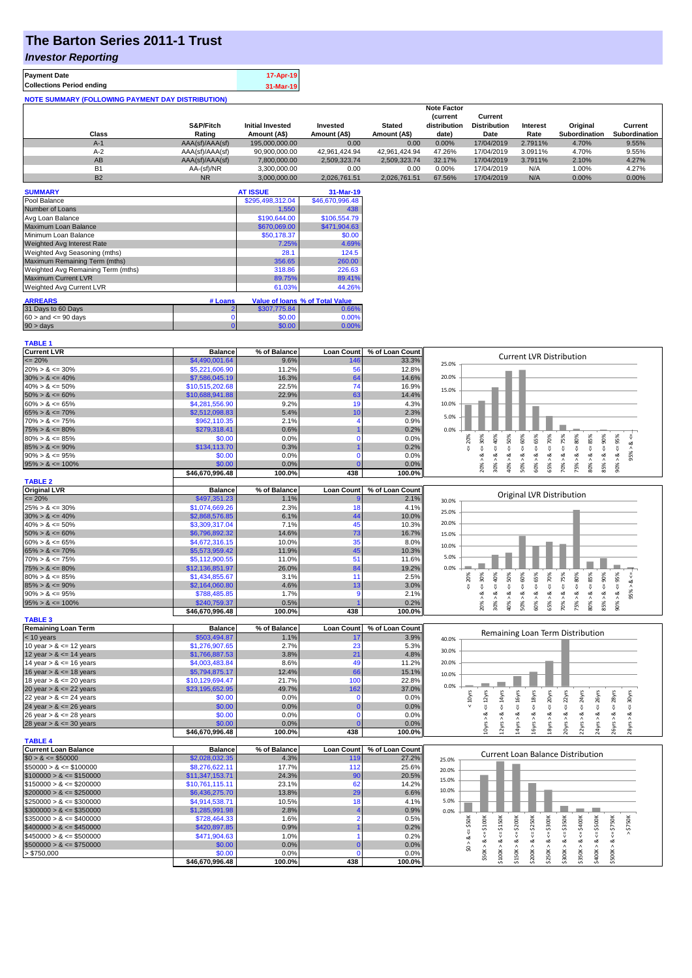# **The Barton Series 2011-1 Trust**

### *Investor Reporting*

| <b>Payment Date</b>                                      | 17-Apr-19 |
|----------------------------------------------------------|-----------|
| <b>Collections Period ending</b>                         | 31-Mar-19 |
| <b>NOTE SUMMARY (FOLLOWING PAYMENT DAY DISTRIBUTION)</b> |           |

|                |                 |                         |               |               | <b>Note Factor</b> |                     |                 |               |               |
|----------------|-----------------|-------------------------|---------------|---------------|--------------------|---------------------|-----------------|---------------|---------------|
|                |                 |                         |               |               | <b>Current</b>     | Current             |                 |               |               |
|                | S&P/Fitch       | <b>Initial Invested</b> | Invested      | <b>Stated</b> | distribution       | <b>Distribution</b> | <b>Interest</b> | Original      | Current       |
| Class          | Rating          | Amount (A\$)            | Amount (A\$)  | Amount (A\$)  | date)              | Date                | Rate            | Subordination | Subordination |
| $A-1$          | AAA(sf)/AAA(sf) | 195,000,000,00          | 0.00          | 0.00          | 0.00%              | 17/04/2019          | 2.7911%         | 4.70%         | 9.55%         |
| $A-2$          | AAA(sf)/AAA(sf) | 90,900,000.00           | 42.961.424.94 | 42.961.424.94 | 47.26%             | 17/04/2019          | 3.0911%         | 4.70%         | 9.55%         |
| AB             | AAA(sf)/AAA(sf) | 7,800,000.00            | 2.509.323.74  | 2.509.323.74  | 32.17%             | 17/04/2019          | 3.7911%         | 2.10%         | 4.27%         |
| B <sub>1</sub> | AA-(sf)/NR      | 3.300.000.00            | 0.00          | 0.00          | $0.00\%$           | 17/04/2019          | N/A             | 1.00%         | 4.27%         |
| <b>B2</b>      | <b>NR</b>       | 3.000.000.00            | 2.026.761.51  | 2.026.761.51  | 67.56%             | 17/04/2019          | N/A             | $0.00\%$      | 0.00%         |

| <b>SUMMARY</b>                     |         | <b>AT ISSUE</b>  | 31-Mar-19                       |
|------------------------------------|---------|------------------|---------------------------------|
| Pool Balance                       |         | \$295,498,312.04 | \$46,670,996.48                 |
| Number of Loans                    |         | 1,550            | 438                             |
| Avg Loan Balance                   |         | \$190,644.00     | \$106,554.79                    |
| Maximum Loan Balance               |         | \$670,069.00     | \$471.904.63                    |
| Minimum Loan Balance               |         | \$50,178.37      | \$0.00                          |
| <b>Weighted Avg Interest Rate</b>  |         | 7.25%            | 4.69%                           |
| Weighted Avg Seasoning (mths)      |         | 28.1             | 124.5                           |
| Maximum Remaining Term (mths)      |         | 356.65           | 260.00                          |
| Weighted Avg Remaining Term (mths) |         | 318.86           | 226.63                          |
| <b>Maximum Current LVR</b>         |         | 89.75%           | 89.41%                          |
| Weighted Avg Current LVR           |         | 61.03%           | 44.26%                          |
|                                    |         |                  |                                 |
| <b>ARREARS</b>                     | # Loans |                  | Value of Ioans % of Total Value |
| 31 Days to 60 Days                 | 2       | \$307,775.84     | 0.66%                           |
| $60 >$ and $\leq 90$ days          | 0       | \$0.00           | 0.00%                           |
| $90 > \text{days}$                 | 0       | \$0.00           | 0.00%                           |

| . <u>.</u> |  |  |
|------------|--|--|

| <b>Current LVR</b>          | <b>Balance</b>  | % of Balance | <b>Loan Count</b> | % of Loan Count | <b>Current LVR Distribution</b>                                                                                                                                                                              |
|-----------------------------|-----------------|--------------|-------------------|-----------------|--------------------------------------------------------------------------------------------------------------------------------------------------------------------------------------------------------------|
| $\epsilon = 20\%$           | \$4,490,001.64  | 9.6%         | 146               | 33.3%           | 25.0%                                                                                                                                                                                                        |
| $20\% > 8 \le 30\%$         | \$5,221,606.90  | 11.2%        | 56                | 12.8%           |                                                                                                                                                                                                              |
| $30\% > 8 \le 40\%$         | \$7,586,045.19  | 16.3%        | 64                | 14.6%           | 20.0%                                                                                                                                                                                                        |
| $40\% > 8 \le 50\%$         | \$10,515,202.68 | 22.5%        | 74                | 16.9%           | 15.0%                                                                                                                                                                                                        |
| $50\% > 8 \le 60\%$         | \$10,688,941.88 | 22.9%        | 63                | 14.4%           |                                                                                                                                                                                                              |
| $60\% > 8 \le 65\%$         | \$4,281,556.90  | 9.2%         | 19                | 4.3%            | 10.0%                                                                                                                                                                                                        |
| $65\% > 8 \le 70\%$         | \$2,512,098.83  | 5.4%         | 10                | 2.3%            |                                                                                                                                                                                                              |
| $70\% > 8 \le 75\%$         | \$962,110.35    | 2.1%         | Δ                 | 0.9%            | 5.0%                                                                                                                                                                                                         |
| $75\% > 8 \le 80\%$         | \$279,318.41    | 0.6%         |                   | 0.2%            | 0.0%                                                                                                                                                                                                         |
| $80\% > 8 \le 85\%$         | \$0.00          | 0.0%         | $\Omega$          | 0.0%            | 75%<br>70%<br>80%<br>20%<br>95%                                                                                                                                                                              |
| $85\% > 8 \le 90\%$         | \$134,113.70    | 0.3%         |                   | 0.2%            | $8 - 50%$<br>$<=$ 30%<br>જં<br>ű<br>₹<br>₹<br>V                                                                                                                                                              |
| $90\% > 8 \le 95\%$         | \$0.00          | 0.0%         | $\Omega$          | 0.0%            | 95% ><br>ż<br>∞                                                                                                                                                                                              |
| $95\% > 8 \le 100\%$        | \$0.00          | 0.0%         |                   | 0.0%            | $60\% > 8$ <= $65\%$<br>$30\% > 8 <= 40\%$<br>$50\% > 8 < = 60\%$<br>$85\% > 8 \leq 90\%$<br>$80\% > 8 <= 85\%$<br>$70\% > 8 <=$<br>75% > 8.<br>$90\% > 8.$<br>40% > 8<br>65% > 8                            |
|                             | \$46,670,996.48 | 100.0%       | 438               | 100.0%          | 20%                                                                                                                                                                                                          |
| <b>TABLE 2</b>              |                 |              |                   |                 |                                                                                                                                                                                                              |
| <b>Original LVR</b>         | <b>Balance</b>  | % of Balance | <b>Loan Count</b> | % of Loan Count |                                                                                                                                                                                                              |
| $= 20%$                     | \$497,351.23    | 1.1%         |                   | 2.1%            | Original LVR Distribution                                                                                                                                                                                    |
| $25\% > 8 \le 30\%$         | \$1,074,669.26  | 2.3%         | 18                | 4.1%            | 30.0%                                                                                                                                                                                                        |
| $30\% > 8 \le 40\%$         | \$2,868,576.85  | 6.1%         | 44                | 10.0%           | 25.0%                                                                                                                                                                                                        |
| $40\% > 8 \le 50\%$         | \$3,309,317.04  | 7.1%         | 45                | 10.3%           | 20.0%                                                                                                                                                                                                        |
| $50\% > 8 \le 60\%$         | \$6,796,892.32  | 14.6%        | 73                | 16.7%           |                                                                                                                                                                                                              |
| $60\% > 8 \le 65\%$         | \$4,672,316.15  | 10.0%        | 35                | 8.0%            | 15.0%                                                                                                                                                                                                        |
| $65\% > 8 \le 70\%$         | \$5,573,959.42  | 11.9%        | 45                | 10.3%           | 10.0%                                                                                                                                                                                                        |
| $70\% > 8 \le 75\%$         | \$5,112,900.55  | 11.0%        | 51                | 11.6%           | 5.0%                                                                                                                                                                                                         |
| $75\% > 8 \le 80\%$         |                 | 26.0%        | 84                | 19.2%           | 0.0%                                                                                                                                                                                                         |
| $80\% > 8 \le 85\%$         | \$12,136,851.97 |              | 11                | 2.5%            |                                                                                                                                                                                                              |
|                             | \$1,434,855.67  | 3.1%         |                   |                 | $\& \Leftarrow 90\%$<br>$4 = 50\%$<br>$8 - 60%$<br>$4 = 65%$<br>$4 = 70\%$<br>$4 = 75%$<br>$4 = 80\%$<br>$4 = 95%$<br>30%<br>40%<br>20%<br>$<=$                                                              |
| $85\% > 8 \le 90\%$         | \$2,164,060.80  | 4.6%         | 13                | 3.0%            | IJ,<br>8<br>95% ><br>$\dot{\infty}$<br>ઌ<br>ಷ<br>ø<br>œ                                                                                                                                                      |
| $90\% > 8 \le 95\%$         | \$788,485.85    | 1.7%         | 9                 | 2.1%            | $_{\infty}$                                                                                                                                                                                                  |
| $95\% > 8 \le 100\%$        | \$240,759.37    | 0.5%         |                   | 0.2%            | $80\% > 8 \leq 85\%$<br>75% > 8.<br>$90\% > 8.$<br>60% ><br>85% ><br>30% ><br>40% ><br>50% ><br>65% ><br>70%<br>20%                                                                                          |
|                             | \$46,670,996.48 | 100.0%       | 438               | 100.0%          |                                                                                                                                                                                                              |
|                             |                 |              |                   |                 |                                                                                                                                                                                                              |
| <b>TABLE 3</b>              |                 |              |                   |                 |                                                                                                                                                                                                              |
| <b>Remaining Loan Term</b>  | <b>Balance</b>  | % of Balance | <b>Loan Count</b> | % of Loan Count |                                                                                                                                                                                                              |
| $<$ 10 years                | \$503,494.87    | 1.1%         | 17                | 3.9%            | Remaining Loan Term Distribution<br>40.0%                                                                                                                                                                    |
| 10 year $> 8 \le 12$ years  | \$1,276,907.65  | 2.7%         | 23                | 5.3%            | 30.0%                                                                                                                                                                                                        |
| 12 year $> 8 \le 14$ years  | \$1,766,887.53  | 3.8%         | 21                | 4.8%            |                                                                                                                                                                                                              |
| 14 year $> 8 \le 16$ years  | \$4,003,483.84  | 8.6%         | 49                | 11.2%           | 20.0%                                                                                                                                                                                                        |
| 16 year $> 8 \le 18$ years  | \$5,794,875.17  | 12.4%        | 66                | 15.1%           | 10.0%                                                                                                                                                                                                        |
| 18 year $> 8 \le 20$ years  | \$10,129,694.47 | 21.7%        | 100               | 22.8%           |                                                                                                                                                                                                              |
| 20 year $> 8 \le 22$ years  | \$23,195,652.95 | 49.7%        | 162               | 37.0%           | 0.0%                                                                                                                                                                                                         |
| 22 year $> 8 \le 24$ years  | \$0.00          | 0.0%         | $\mathbf 0$       | 0.0%            | 20yrs                                                                                                                                                                                                        |
| 24 year $> 8 \le 26$ years  | \$0.00          | 0.0%         | $\mathbf 0$       | 0.0%            | $\leq 14$ yrs<br>$4 = 16yrs$<br>$\leq 18$ yrs<br>$\epsilon$ = 22 $\gamma$ rs<br>$\epsilon$ = 24yrs<br>$\leq$ 26yrs<br>$\leq$ 30yrs<br>$< 10$ yrs<br>$\epsilon$ = 12 $\gamma$ rs<br>$\epsilon$ = 28yrs<br>IJ  |
| 26 year $> 8 \le 28$ years  | \$0.00          | 0.0%         | $\Omega$          | 0.0%            | ≪<br>∞<br>ø<br>ಷ                                                                                                                                                                                             |
| 28 year $> 8 \le 30$ years  | \$0.00          | 0.0%         |                   | 0.0%            |                                                                                                                                                                                                              |
|                             | \$46,670,996.48 | 100.0%       | 438               | 100.0%          | 12yrs > 8<br>20yrs > 8<br>24yrs > 8<br>14yrs > 8<br>16yrs > 8<br>22yrs > 8<br>Oyrs ><br>L8yrs ><br>26yrs ><br>28yrs >                                                                                        |
| <b>TABLE 4</b>              |                 |              |                   |                 |                                                                                                                                                                                                              |
| <b>Current Loan Balance</b> | <b>Balance</b>  | % of Balance | Loan Count        | % of Loan Count |                                                                                                                                                                                                              |
| $$0 > 8 \leq $50000$        | \$2,028,032.35  | 4.3%         | 119               | 27.2%           | <b>Current Loan Balance Distribution</b><br>25.0%                                                                                                                                                            |
| $$50000 > 8 \le $100000$    | \$8,276,622.11  | 17.7%        | 112               | 25.6%           | 20.0%                                                                                                                                                                                                        |
| $$100000 > 8 \leq $150000$  | \$11,347,153.71 | 24.3%        | 90                | 20.5%           |                                                                                                                                                                                                              |
| $$150000 > 8 \leq $200000$  | \$10,761,115.11 | 23.1%        | 62                | 14.2%           | 15.0%                                                                                                                                                                                                        |
| $$200000 > 8 \leq $250000$  | \$6,436,275.70  | 13.8%        | 29                | 6.6%            | 10.0%                                                                                                                                                                                                        |
| $$250000 > 8 \leq $300000$  | \$4,914,538.71  | 10.5%        | 18                | 4.1%            | 5.0%                                                                                                                                                                                                         |
| $$300000 > 8 \leq $350000$  | \$1,285,991.98  | 2.8%         |                   | 0.9%            | 0.0%                                                                                                                                                                                                         |
| $$350000 > 8 \leq $400000$  | \$728,464.33    | 1.6%         |                   | 0.5%            |                                                                                                                                                                                                              |
| $$400000 > 8 \leq $450000$  | \$420,897.85    | 0.9%         |                   | 0.2%            | \$150K<br>\$50K<br>\$200K<br>\$250K<br>\$750K                                                                                                                                                                |
| $$450000 > 8 \le $500000$   | \$471,904.63    | 1.0%         |                   | 0.2%            |                                                                                                                                                                                                              |
| $$500000 > 8 \leq $750000$  | \$0.00          | 0.0%         |                   | 0.0%            | 8 < 1                                                                                                                                                                                                        |
| > \$750,000                 | \$0.00          | 0.0%         |                   | 0.0%            | $$300K > 8 \leq x = $350K$<br>$$50K > <= $100K$<br>$$250K > 8 <= $300K$$<br>$$350K > 8 <= $400K$<br>$$400K > 8 <= $500K$<br>$$500K > 8 <= $750K$<br>$$100K > 8 <=$<br>$$200K > 8 < =$<br>\$0 > 8.<br>\$150K> |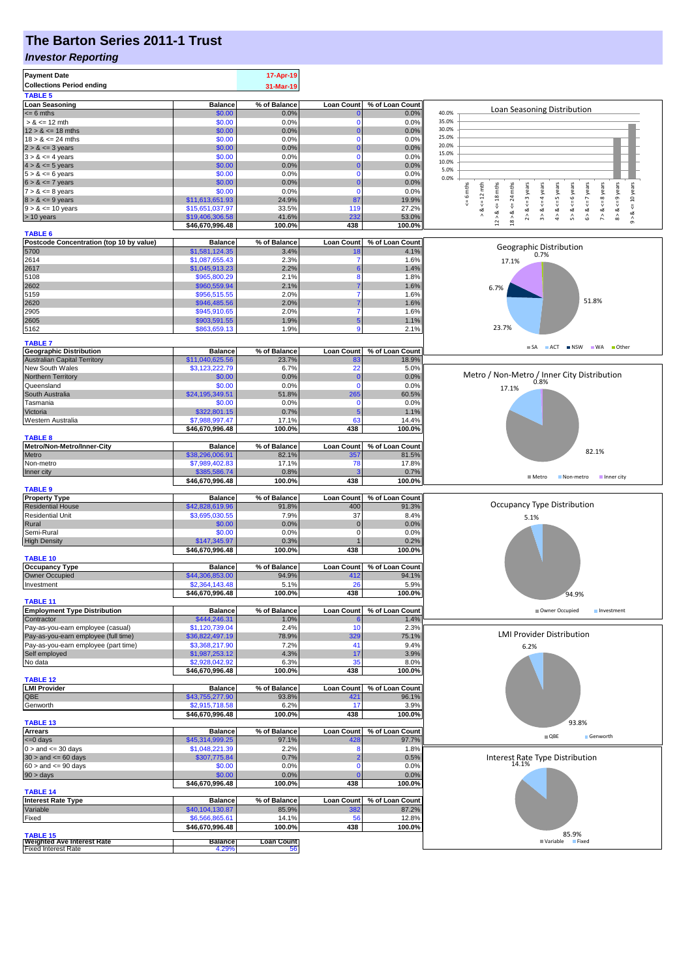# **The Barton Series 2011-1 Trust**

#### *Investor Reporting*

| <b>Payment Date</b><br><b>Collections Period ending</b><br><b>TABLE 5</b> |                                   | 17-Apr-19<br>31-Mar-19  |                          |                          |                                                                                                                                                                                          |
|---------------------------------------------------------------------------|-----------------------------------|-------------------------|--------------------------|--------------------------|------------------------------------------------------------------------------------------------------------------------------------------------------------------------------------------|
| <b>Loan Seasoning</b>                                                     | <b>Balance</b>                    | % of Balance            | <b>Loan Count</b>        | % of Loan Count          |                                                                                                                                                                                          |
| $= 6$ mths                                                                | \$0.00                            | 0.0%                    |                          | 0.0%                     | Loan Seasoning Distribution<br>40.0%                                                                                                                                                     |
| $> 8 \le 12$ mth                                                          | \$0.00                            | 0.0%                    | $\Omega$                 | 0.0%                     | 35.0%<br>30.0%                                                                                                                                                                           |
| $12 > 8 \le 18$ mths<br>$18 > 8 \le 24$ mths                              | \$0.00<br>\$0.00                  | 0.0%<br>0.0%            | O<br>$\Omega$            | 0.0%<br>0.0%             | 25.0%                                                                                                                                                                                    |
| $2 > 8 \le 3$ years                                                       | \$0.00                            | 0.0%                    |                          | 0.0%                     | 20.0%                                                                                                                                                                                    |
| $3 > 8 \le 4$ years                                                       | \$0.00                            | 0.0%                    | $\Omega$                 | 0.0%                     | 15.0%                                                                                                                                                                                    |
| $4 > 8 \le 5$ years                                                       | \$0.00                            | 0.0%                    |                          | 0.0%                     | 10.0%<br>5.0%                                                                                                                                                                            |
| $5 > 8 \le 6$ years                                                       | \$0.00                            | 0.0%                    | $\Omega$                 | 0.0%                     | 0.0%                                                                                                                                                                                     |
| $6 > 8 \le 7$ years                                                       | \$0.00                            | 0.0%                    | C                        | 0.0%                     | 10 years<br>24 mths<br>$x = 6$ years                                                                                                                                                     |
| $7 > 8 \le 8$ years<br>$8 > 8 \le 9$ years                                | \$0.00<br>\$11,613,651.93         | 0.0%<br>24.9%           | $\Omega$<br>87           | 0.0%<br>19.9%            | $x = 6$ mths<br>$\leq 12$ mth<br>$\leq$ = 4 years<br>$\leq$ 8 years                                                                                                                      |
| $9 > 8 \le 10$ years                                                      | \$15,651,037.97                   | 33.5%                   | 119                      | 27.2%                    | $\overline{\mathsf{v}}$<br>V<br>ಹ                                                                                                                                                        |
| > 10 years                                                                | \$19,406,306.58                   | 41.6%                   | 232                      | 53.0%                    | $8 > 8 < = 9$ years<br>$12 > 8$ <= 18 mths<br>$2 > 8 < z = 3$ years<br>$4 > 8 < z = 5$ years<br>$6 > 8 < = 7$ years<br>∘&<br>5 > 8<br>7 > 8<br>18 > 8.<br>œ<br>$\hat{\mathfrak{s}}$<br>â |
|                                                                           | \$46,670,996.48                   | 100.0%                  | 438                      | 100.0%                   |                                                                                                                                                                                          |
| <b>TABLE 6</b>                                                            |                                   |                         |                          |                          |                                                                                                                                                                                          |
| Postcode Concentration (top 10 by value)<br>5700                          | <b>Balance</b><br>\$1,581,124.35  | % of Balance<br>3.4%    | <b>Loan Count</b>        | % of Loan Count<br>4.1%  | Geographic Distribution                                                                                                                                                                  |
| 2614                                                                      | \$1,087,655.43                    | 2.3%                    |                          | 1.6%                     | 0.7%<br>17.1%                                                                                                                                                                            |
| 2617                                                                      | \$1,045,913.23                    | 2.2%                    |                          | 1.4%                     |                                                                                                                                                                                          |
| 5108                                                                      | \$965,800.29                      | 2.1%                    | 8                        | 1.8%                     |                                                                                                                                                                                          |
| 2602                                                                      | \$960,559.94                      | 2.1%                    |                          | 1.6%                     | 6.7%                                                                                                                                                                                     |
| 5159                                                                      | \$956,515.55                      | 2.0%                    |                          | 1.6%                     | 51.8%                                                                                                                                                                                    |
| 2620<br>2905                                                              | \$946,485.56<br>\$945,910.65      | 2.0%<br>2.0%            |                          | 1.6%<br>1.6%             |                                                                                                                                                                                          |
| 2605                                                                      | \$903,591.55                      | 1.9%                    | 5                        | 1.1%                     |                                                                                                                                                                                          |
| 5162                                                                      | \$863,659.13                      | 1.9%                    |                          | 2.1%                     | 23.7%                                                                                                                                                                                    |
|                                                                           |                                   |                         |                          |                          |                                                                                                                                                                                          |
| <b>TABLE 7</b><br><b>Geographic Distribution</b>                          | <b>Balance</b>                    | % of Balance            | <b>Loan Count</b>        | % of Loan Count          | SA ACT NSW WA Other                                                                                                                                                                      |
| <b>Australian Capital Territory</b>                                       | \$11,040,625.56                   | 23.7%                   | 83                       | 18.9%                    |                                                                                                                                                                                          |
| New South Wales                                                           | \$3,123,222.79                    | 6.7%                    | 22                       | 5.0%                     |                                                                                                                                                                                          |
| Northern Territory                                                        | \$0.00                            | 0.0%                    | C                        | 0.0%                     | Metro / Non-Metro / Inner City Distribution<br>0.8%                                                                                                                                      |
| Queensland                                                                | \$0.00                            | 0.0%                    | $\mathbf 0$              | 0.0%                     | 17.1%                                                                                                                                                                                    |
| South Australia<br>Tasmania                                               | \$24,195,349.51<br>\$0.00         | 51.8%<br>0.0%           | 265<br>$\mathbf 0$       | 60.5%<br>0.0%            |                                                                                                                                                                                          |
| Victoria                                                                  | \$322,801.15                      | 0.7%                    | 5                        | 1.1%                     |                                                                                                                                                                                          |
| Western Australia                                                         | \$7,988,997.47                    | 17.1%                   | 63                       | 14.4%                    |                                                                                                                                                                                          |
|                                                                           | \$46,670,996.48                   | 100.0%                  | 438                      | 100.0%                   |                                                                                                                                                                                          |
| <b>TABLE 8</b>                                                            |                                   |                         |                          |                          |                                                                                                                                                                                          |
| Metro/Non-Metro/Inner-City                                                | <b>Balance</b>                    | % of Balance            | <b>Loan Count</b>        | % of Loan Count          | 82.1%                                                                                                                                                                                    |
| Metro                                                                     | \$38,296,006.91                   | 82.1%                   | 357                      | 81.5%                    |                                                                                                                                                                                          |
| Non-metro<br>Inner city                                                   | \$7,989,402.83<br>\$385,586.74    | 17.1%<br>0.8%           | 78                       | 17.8%<br>0.7%            |                                                                                                                                                                                          |
|                                                                           | \$46,670,996.48                   | 100.0%                  | 438                      | 100.0%                   | Metro<br>Non-metro<br>Inner city                                                                                                                                                         |
| <b>TABLE 9</b>                                                            |                                   |                         |                          |                          |                                                                                                                                                                                          |
| <b>Property Type</b>                                                      | <b>Balance</b>                    | % of Balance            | <b>Loan Count</b>        | % of Loan Count          |                                                                                                                                                                                          |
| <b>Residential House</b>                                                  | \$42,828,619.96                   | 91.8%                   | 400                      | 91.3%                    | Occupancy Type Distribution                                                                                                                                                              |
| <b>Residential Unit</b><br>Rural                                          | \$3,695,030.55<br>\$0.00          | 7.9%<br>0.0%            | 37<br>$\mathbf 0$        | 8.4%<br>0.0%             | 5.1%                                                                                                                                                                                     |
| Semi-Rural                                                                | \$0.00                            | 0.0%                    | $\mathbf 0$              | 0.0%                     |                                                                                                                                                                                          |
| <b>High Density</b>                                                       | \$147,345.97                      | 0.3%                    |                          | 0.2%                     |                                                                                                                                                                                          |
|                                                                           | \$46,670,996.48                   | 100.0%                  | 438                      | 100.0%                   |                                                                                                                                                                                          |
| <b>TABLE 10</b>                                                           |                                   |                         |                          |                          |                                                                                                                                                                                          |
| <b>Occupancy Type</b><br>Owner Occupied                                   | <b>Balance</b><br>\$44,306,853.00 | % of Balance<br>94.9%   | Loan Count               | % of Loan Count<br>94.1% |                                                                                                                                                                                          |
| Investment                                                                | \$2,364,143.48                    | 5.1%                    | 412<br>26                | 5.9%                     |                                                                                                                                                                                          |
|                                                                           | \$46,670,996.48                   | 100.0%                  | 438                      | 100.0%                   | 94.9%                                                                                                                                                                                    |
| <b>TABLE 11</b>                                                           |                                   |                         |                          |                          |                                                                                                                                                                                          |
| <b>Employment Type Distribution</b>                                       | <b>Balance</b>                    | % of Balance            | <b>Loan Count</b>        | % of Loan Count          | Owner Occupied<br>Investment                                                                                                                                                             |
| Contractor                                                                | \$444,246.31                      | 1.0%                    |                          | 1.4%                     |                                                                                                                                                                                          |
| Pay-as-you-earn employee (casual)<br>Pay-as-you-earn employee (full time) | \$1,120,739.04<br>\$36,822,497.19 | 2.4%<br>78.9%           | 10<br>329                | 2.3%<br>75.1%            | <b>LMI Provider Distribution</b>                                                                                                                                                         |
| Pay-as-you-earn employee (part time)                                      | \$3,368,217.90                    | 7.2%                    | 41                       | 9.4%                     | 6.2%                                                                                                                                                                                     |
| Self employed                                                             | \$1,987,253.12                    | 4.3%                    | 17                       | 3.9%                     |                                                                                                                                                                                          |
| No data                                                                   | \$2,928,042.92                    | 6.3%                    | 35                       | 8.0%                     |                                                                                                                                                                                          |
|                                                                           | \$46,670,996.48                   | 100.0%                  | 438                      | 100.0%                   |                                                                                                                                                                                          |
| <b>TABLE 12</b><br><b>LMI Provider</b>                                    |                                   |                         |                          |                          |                                                                                                                                                                                          |
| QBE                                                                       | <b>Balance</b><br>\$43,755,277.90 | % of Balance<br>93.8%   | <b>Loan Count</b><br>421 | % of Loan Count<br>96.1% |                                                                                                                                                                                          |
| Genworth                                                                  | \$2,915,718.58                    | 6.2%                    | 17                       | 3.9%                     |                                                                                                                                                                                          |
|                                                                           | \$46.670.996.48                   | 100.0%                  | 438                      | 100.0%                   |                                                                                                                                                                                          |
| <b>TABLE 13</b>                                                           |                                   |                         |                          |                          | 93.8%                                                                                                                                                                                    |
| <b>Arrears</b>                                                            | <b>Balance</b>                    | % of Balance            | <b>Loan Count</b>        | % of Loan Count          | $\Box$ QBE<br>Genworth                                                                                                                                                                   |
| $= 0$ days                                                                | \$45,314,999.25                   | 97.1%                   | 428                      | 97.7%                    |                                                                                                                                                                                          |
| $0 >$ and $\leq 30$ days<br>$30 >$ and $\leq 60$ days                     | \$1,048,221.39<br>\$307,775.84    | 2.2%<br>0.7%            |                          | 1.8%<br>0.5%             | Interest Rate Type Distribution                                                                                                                                                          |
| $60 >$ and $\leq 90$ days                                                 | \$0.00                            | 0.0%                    | 0                        | 0.0%                     | 14.1%                                                                                                                                                                                    |
| $90 > \text{days}$                                                        | \$0.00                            | 0.0%                    |                          | 0.0%                     |                                                                                                                                                                                          |
|                                                                           | \$46,670,996.48                   | 100.0%                  | 438                      | 100.0%                   |                                                                                                                                                                                          |
| <b>TABLE 14</b>                                                           |                                   |                         |                          |                          |                                                                                                                                                                                          |
| <b>Interest Rate Type</b>                                                 | <b>Balance</b>                    | % of Balance            | <b>Loan Count</b>        | % of Loan Count          |                                                                                                                                                                                          |
| Variable<br>Fixed                                                         | \$40,104,130.87<br>\$6,566,865.61 | 85.9%<br>14.1%          | 382<br>56                | 87.2%<br>12.8%           |                                                                                                                                                                                          |
|                                                                           | \$46,670,996.48                   | 100.0%                  | 438                      | 100.0%                   |                                                                                                                                                                                          |
| <b>TABLE 15</b>                                                           |                                   |                         |                          |                          | 85.9%                                                                                                                                                                                    |
| <b>Weighted Ave Interest Rate</b><br><b>Fixed Interest Rate</b>           | <b>Balance</b><br>4.29%           | <b>Loan Count</b><br>56 |                          |                          | Variable Fixed                                                                                                                                                                           |
|                                                                           |                                   |                         |                          |                          |                                                                                                                                                                                          |